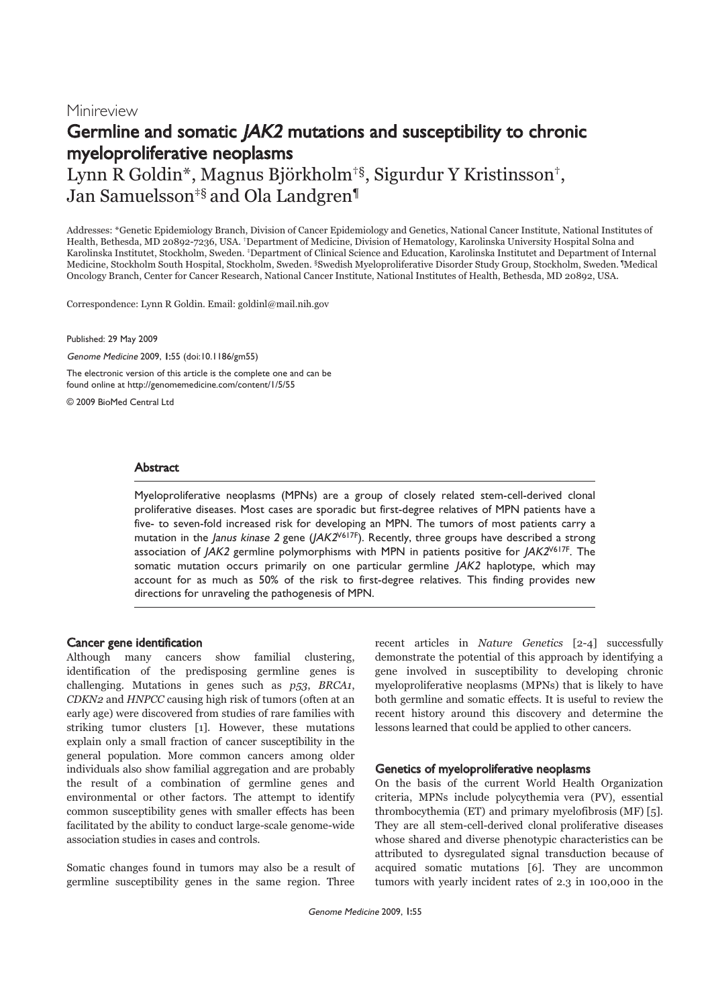# Minireview Germline and somatic JAK2 mutations and susceptibility to chronic myeloproliferative neoplasms

Lynn R Goldin\*, Magnus Björkholm†§, Sigurdur Y Kristinsson†, Jan Samuelsson<sup>‡§</sup> and Ola Landgren<sup>¶</sup>

Addresses: \*Genetic Epidemiology Branch, Division of Cancer Epidemiology and Genetics, National Cancer Institute, National Institutes of Health, Bethesda, MD 20892-7236, USA. †Department of Medicine, Division of Hematology, Karolinska University Hospital Solna and Karolinska Institutet, Stockholm, Sweden. ‡Department of Clinical Science and Education, Karolinska Institutet and Department of Internal Medicine, Stockholm South Hospital, Stockholm, Sweden. §Swedish Myeloproliferative Disorder Study Group, Stockholm, Sweden. ¶Medical Oncology Branch, Center for Cancer Research, National Cancer Institute, National Institutes of Health, Bethesda, MD 20892, USA.

Correspondence: Lynn R Goldin. Email: goldinl@mail.nih.gov

Published: 29 May 2009

Genome Medicine 2009, 1:55 (doi:10.1186/gm55)

The electronic version of this article is the complete one and can be found online at http://genomemedicine.com/content/1/5/55

© 2009 BioMed Central Ltd

# Abstract

Myeloproliferative neoplasms (MPNs) are a group of closely related stem-cell-derived clonal proliferative diseases. Most cases are sporadic but first-degree relatives of MPN patients have a five- to seven-fold increased risk for developing an MPN. The tumors of most patients carry a mutation in the Janus kinase 2 gene  $(JAK2<sup>V617F</sup>)$ . Recently, three groups have described a strong association of JAK2 germline polymorphisms with MPN in patients positive for JAK2<sup>V617F</sup>. The somatic mutation occurs primarily on one particular germline JAK2 haplotype, which may account for as much as 50% of the risk to first-degree relatives. This finding provides new directions for unraveling the pathogenesis of MPN.

#### Cancer gene identification

Although many cancers show familial clustering, identification of the predisposing germline genes is challenging. Mutations in genes such as p53, BRCA1, CDKN2 and HNPCC causing high risk of tumors (often at an early age) were discovered from studies of rare families with striking tumor clusters [1]. However, these mutations explain only a small fraction of cancer susceptibility in the general population. More common cancers among older individuals also show familial aggregation and are probably the result of a combination of germline genes and environmental or other factors. The attempt to identify common susceptibility genes with smaller effects has been facilitated by the ability to conduct large-scale genome-wide association studies in cases and controls.

Somatic changes found in tumors may also be a result of germline susceptibility genes in the same region. Three

recent articles in Nature Genetics [2-4] successfully demonstrate the potential of this approach by identifying a gene involved in susceptibility to developing chronic myeloproliferative neoplasms (MPNs) that is likely to have both germline and somatic effects. It is useful to review the recent history around this discovery and determine the lessons learned that could be applied to other cancers.

# Genetics of myeloproliferative neoplasms

On the basis of the current World Health Organization criteria, MPNs include polycythemia vera (PV), essential thrombocythemia (ET) and primary myelofibrosis (MF) [5]. They are all stem-cell-derived clonal proliferative diseases whose shared and diverse phenotypic characteristics can be attributed to dysregulated signal transduction because of acquired somatic mutations [6]. They are uncommon tumors with yearly incident rates of 2.3 in 100,000 in the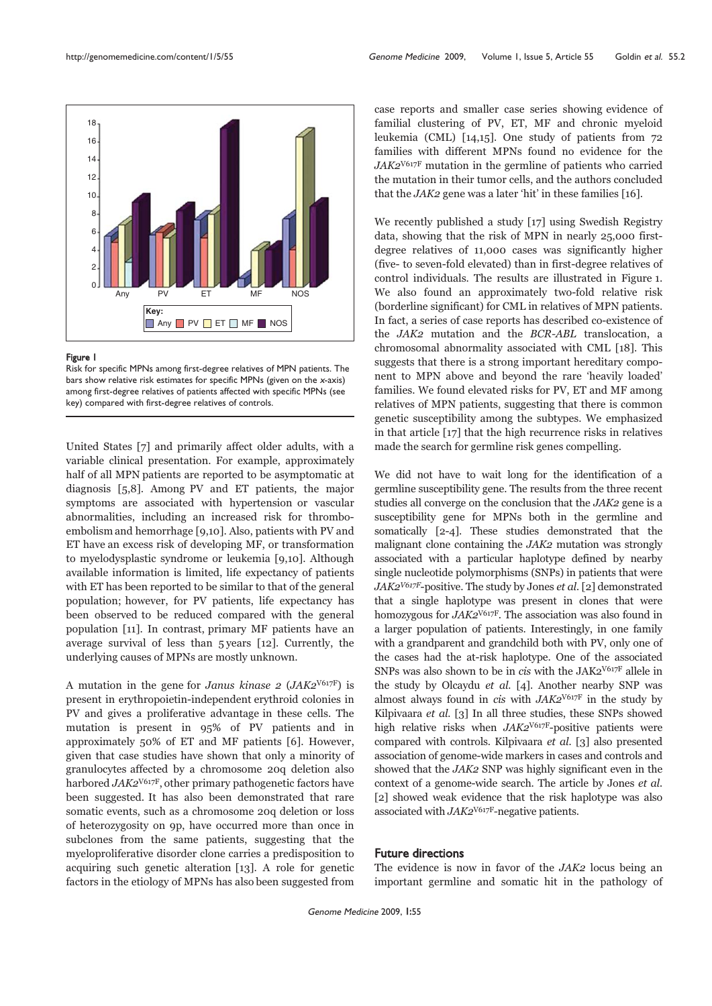

#### Figure 1

Risk for specific MPNs among first-degree relatives of MPN patients. The bars show relative risk estimates for specific MPNs (given on the x-axis) among first-degree relatives of patients affected with specific MPNs (see key) compared with first-degree relatives of controls.

United States [7] and primarily affect older adults, with a variable clinical presentation. For example, approximately half of all MPN patients are reported to be asymptomatic at diagnosis [5,8]. Among PV and ET patients, the major symptoms are associated with hypertension or vascular abnormalities, including an increased risk for thromboembolism and hemorrhage [9,10]. Also, patients with PV and ET have an excess risk of developing MF, or transformation to myelodysplastic syndrome or leukemia [9,10]. Although available information is limited, life expectancy of patients with ET has been reported to be similar to that of the general population; however, for PV patients, life expectancy has been observed to be reduced compared with the general population [11]. In contrast, primary MF patients have an average survival of less than 5 years [12]. Currently, the underlying causes of MPNs are mostly unknown.

A mutation in the gene for *Janus kinase 2 (JAK2*<sup>V617F</sup>) is present in erythropoietin-independent erythroid colonies in PV and gives a proliferative advantage in these cells. The mutation is present in 95% of PV patients and in approximately 50% of ET and MF patients [6]. However, given that case studies have shown that only a minority of granulocytes affected by a chromosome 20q deletion also harbored  $JAK2^{\text{V617F}}$ , other primary pathogenetic factors have been suggested. It has also been demonstrated that rare somatic events, such as a chromosome 20q deletion or loss of heterozygosity on 9p, have occurred more than once in subclones from the same patients, suggesting that the myeloproliferative disorder clone carries a predisposition to acquiring such genetic alteration [13]. A role for genetic factors in the etiology of MPNs has also been suggested from

case reports and smaller case series showing evidence of familial clustering of PV, ET, MF and chronic myeloid leukemia (CML) [14,15]. One study of patients from 72 families with different MPNs found no evidence for the JAK2V617F mutation in the germline of patients who carried the mutation in their tumor cells, and the authors concluded that the JAK2 gene was a later 'hit' in these families [16].

We recently published a study [17] using Swedish Registry data, showing that the risk of MPN in nearly 25,000 firstdegree relatives of 11,000 cases was significantly higher (five- to seven-fold elevated) than in first-degree relatives of control individuals. The results are illustrated in Figure 1. We also found an approximately two-fold relative risk (borderline significant) for CML in relatives of MPN patients. In fact, a series of case reports has described co-existence of the JAK2 mutation and the BCR-ABL translocation, a chromosomal abnormality associated with CML [18]. This suggests that there is a strong important hereditary component to MPN above and beyond the rare 'heavily loaded' families. We found elevated risks for PV, ET and MF among relatives of MPN patients, suggesting that there is common genetic susceptibility among the subtypes. We emphasized in that article [17] that the high recurrence risks in relatives made the search for germline risk genes compelling.

We did not have to wait long for the identification of a germline susceptibility gene. The results from the three recent studies all converge on the conclusion that the  $JAK2$  gene is a susceptibility gene for MPNs both in the germline and somatically [2-4]. These studies demonstrated that the malignant clone containing the JAK2 mutation was strongly associated with a particular haplotype defined by nearby single nucleotide polymorphisms (SNPs) in patients that were  $JAK2<sup>V617F</sup>$ -positive. The study by Jones *et al.* [2] demonstrated that a single haplotype was present in clones that were homozygous for JAK2V617F. The association was also found in a larger population of patients. Interestingly, in one family with a grandparent and grandchild both with PV, only one of the cases had the at-risk haplotype. One of the associated SNPs was also shown to be in cis with the  $JAK2<sup>V617F</sup>$  allele in the study by Olcaydu et al. [4]. Another nearby SNP was almost always found in cis with  $JAK2^{V617F}$  in the study by Kilpivaara et al. [3] In all three studies, these SNPs showed high relative risks when  $JAK2<sup>V617F</sup>$ -positive patients were compared with controls. Kilpivaara et al. [3] also presented association of genome-wide markers in cases and controls and showed that the JAK2 SNP was highly significant even in the context of a genome-wide search. The article by Jones et al. [2] showed weak evidence that the risk haplotype was also associated with JAK2V617F-negative patients.

## Future directions

The evidence is now in favor of the JAK2 locus being an important germline and somatic hit in the pathology of